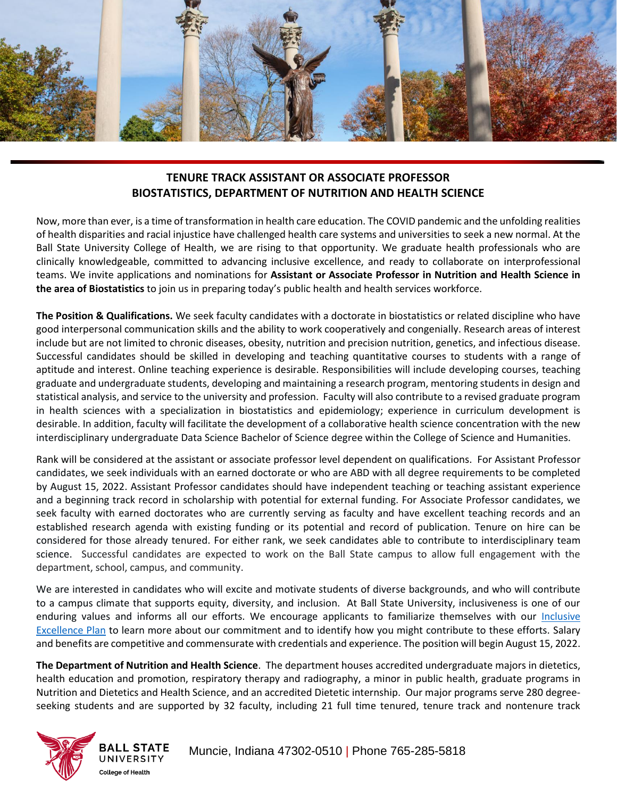

## **TENURE TRACK ASSISTANT OR ASSOCIATE PROFESSOR BIOSTATISTICS, DEPARTMENT OF NUTRITION AND HEALTH SCIENCE**

Now, more than ever, is a time of transformation in health care education. The COVID pandemic and the unfolding realities of health disparities and racial injustice have challenged health care systems and universities to seek a new normal. At the Ball State University College of Health, we are rising to that opportunity. We graduate health professionals who are clinically knowledgeable, committed to advancing inclusive excellence, and ready to collaborate on interprofessional teams. We invite applications and nominations for **Assistant or Associate Professor in Nutrition and Health Science in the area of Biostatistics** to join us in preparing today's public health and health services workforce.

**The Position & Qualifications.** We seek faculty candidates with a doctorate in biostatistics or related discipline who have good interpersonal communication skills and the ability to work cooperatively and congenially. Research areas of interest include but are not limited to chronic diseases, obesity, nutrition and precision nutrition, genetics, and infectious disease. Successful candidates should be skilled in developing and teaching quantitative courses to students with a range of aptitude and interest. Online teaching experience is desirable. Responsibilities will include developing courses, teaching graduate and undergraduate students, developing and maintaining a research program, mentoring students in design and statistical analysis, and service to the university and profession. Faculty will also contribute to a revised graduate program in health sciences with a specialization in biostatistics and epidemiology; experience in curriculum development is desirable. In addition, faculty will facilitate the development of a collaborative health science concentration with the new interdisciplinary undergraduate Data Science Bachelor of Science degree within the College of Science and Humanities.

Rank will be considered at the assistant or associate professor level dependent on qualifications. For Assistant Professor candidates, we seek individuals with an earned doctorate or who are ABD with all degree requirements to be completed by August 15, 2022. Assistant Professor candidates should have independent teaching or teaching assistant experience and a beginning track record in scholarship with potential for external funding. For Associate Professor candidates, we seek faculty with earned doctorates who are currently serving as faculty and have excellent teaching records and an established research agenda with existing funding or its potential and record of publication. Tenure on hire can be considered for those already tenured. For either rank, we seek candidates able to contribute to interdisciplinary team science. Successful candidates are expected to work on the Ball State campus to allow full engagement with the department, school, campus, and community.

We are interested in candidates who will excite and motivate students of diverse backgrounds, and who will contribute to a campus climate that supports equity, diversity, and inclusion. At Ball State University, inclusiveness is one of our enduring values and informs all our efforts. We encourage applicants to familiarize themselves with our [Inclusive](https://www.bsu.edu/about/inclusive-excellence/university-plan)  [Excellence Plan](https://www.bsu.edu/about/inclusive-excellence/university-plan) to learn more about our commitment and to identify how you might contribute to these efforts. Salary and benefits are competitive and commensurate with credentials and experience. The position will begin August 15, 2022.

**The Department of Nutrition and Health Science**. The department houses accredited undergraduate majors in dietetics, health education and promotion, respiratory therapy and radiography, a minor in public health, graduate programs in Nutrition and Dietetics and Health Science, and an accredited Dietetic internship. Our major programs serve 280 degreeseeking students and are supported by 32 faculty, including 21 full time tenured, tenure track and nontenure track



**BALL STATE** UNIVERSITY **College of Health**